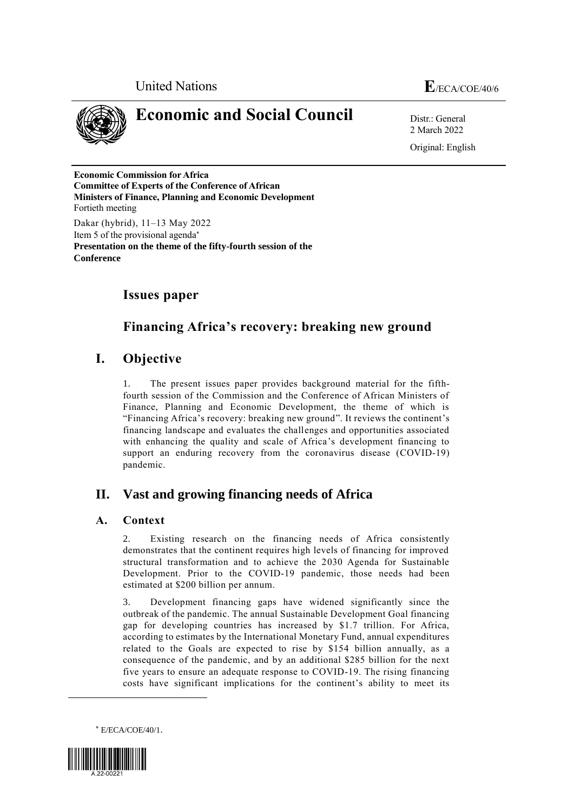



**Conference**

# **Economic and Social Council** Distress General

2 March 2022 Original: English

**Economic Commission for Africa Committee of Experts of the Conference of African Ministers of Finance, Planning and Economic Development** Fortieth meeting Dakar (hybrid), 11–13 May 2022 Item 5 of the provisional agenda **Presentation on the theme of the fifty-fourth session of the** 

## **Issues paper**

## **Financing Africa's recovery: breaking new ground**

## **I. Objective**

1. The present issues paper provides background material for the fifthfourth session of the Commission and the Conference of African Ministers of Finance, Planning and Economic Development, the theme of which is "Financing Africa's recovery: breaking new ground". It reviews the continent's financing landscape and evaluates the challenges and opportunities associated with enhancing the quality and scale of Africa's development financing to support an enduring recovery from the coronavirus disease (COVID-19) pandemic.

## **II. Vast and growing financing needs of Africa**

## **A. Context**

2. Existing research on the financing needs of Africa consistently demonstrates that the continent requires high levels of financing for improved structural transformation and to achieve the 2030 Agenda for Sustainable Development. Prior to the COVID-19 pandemic, those needs had been estimated at \$200 billion per annum.

3. Development financing gaps have widened significantly since the outbreak of the pandemic. The annual Sustainable Development Goal financing gap for developing countries has increased by \$1.7 trillion. For Africa, according to estimates by the International Monetary Fund, annual expenditures related to the Goals are expected to rise by \$154 billion annually, as a consequence of the pandemic, and by an additional \$285 billion for the next five years to ensure an adequate response to COVID-19. The rising financing costs have significant implications for the continent's ability to meet its

E/ECA/COE/40/1.



 $\overline{\phantom{a}}$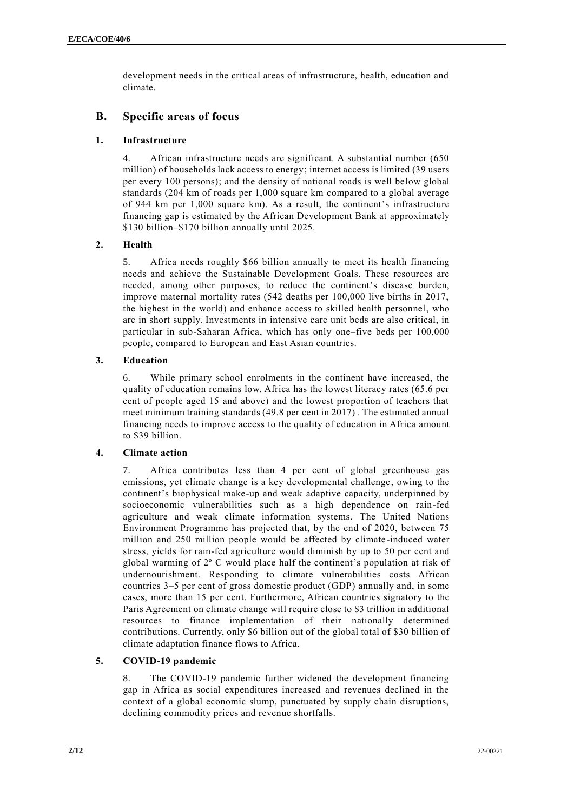development needs in the critical areas of infrastructure, health, education and climate.

## **B. Specific areas of focus**

#### **1. Infrastructure**

4. African infrastructure needs are significant. A substantial number (650 million) of households lack access to energy; internet access is limited (39 users per every 100 persons); and the density of national roads is well below global standards (204 km of roads per 1,000 square km compared to a global average of 944 km per 1,000 square km). As a result, the continent's infrastructure financing gap is estimated by the African Development Bank at approximately \$130 billion–\$170 billion annually until 2025.

### **2. Health**

5. Africa needs roughly \$66 billion annually to meet its health financing needs and achieve the Sustainable Development Goals. These resources are needed, among other purposes, to reduce the continent's disease burden, improve maternal mortality rates (542 deaths per 100,000 live births in 2017, the highest in the world) and enhance access to skilled health personnel, who are in short supply. Investments in intensive care unit beds are also critical, in particular in sub-Saharan Africa, which has only one–five beds per 100,000 people, compared to European and East Asian countries.

#### **3. Education**

6. While primary school enrolments in the continent have increased, the quality of education remains low. Africa has the lowest literacy rates (65.6 per cent of people aged 15 and above) and the lowest proportion of teachers that meet minimum training standards (49.8 per cent in 2017) . The estimated annual financing needs to improve access to the quality of education in Africa amount to \$39 billion.

#### **4. Climate action**

7. Africa contributes less than 4 per cent of global greenhouse gas emissions, yet climate change is a key developmental challenge, owing to the continent's biophysical make-up and weak adaptive capacity, underpinned by socioeconomic vulnerabilities such as a high dependence on rain-fed agriculture and weak climate information systems. The United Nations Environment Programme has projected that, by the end of 2020, between 75 million and 250 million people would be affected by climate-induced water stress, yields for rain-fed agriculture would diminish by up to 50 per cent and global warming of 2º C would place half the continent's population at risk of undernourishment. Responding to climate vulnerabilities costs African countries 3–5 per cent of gross domestic product (GDP) annually and, in some cases, more than 15 per cent. Furthermore, African countries signatory to the Paris Agreement on climate change will require close to \$3 trillion in additional resources to finance implementation of their nationally determined contributions. Currently, only \$6 billion out of the global total of \$30 billion of climate adaptation finance flows to Africa.

## **5. COVID-19 pandemic**

8. The COVID-19 pandemic further widened the development financing gap in Africa as social expenditures increased and revenues declined in the context of a global economic slump, punctuated by supply chain disruptions, declining commodity prices and revenue shortfalls.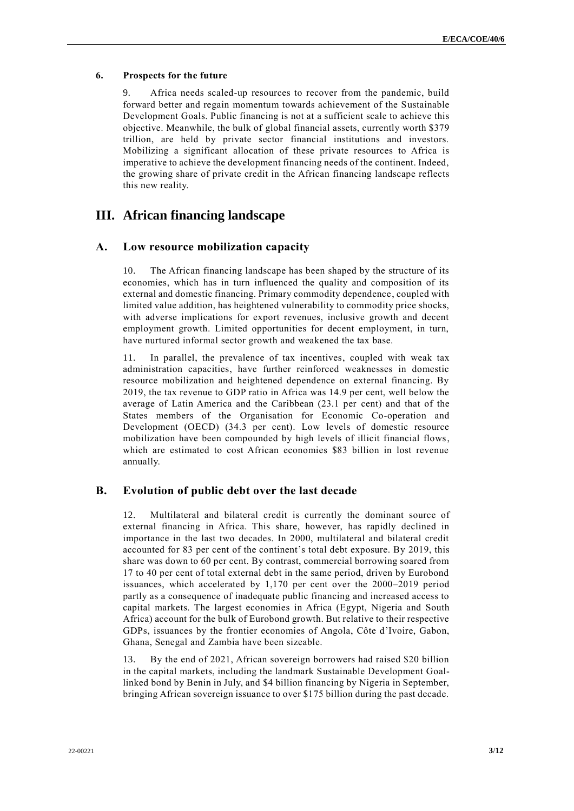#### **6. Prospects for the future**

9. Africa needs scaled-up resources to recover from the pandemic, build forward better and regain momentum towards achievement of the Sustainable Development Goals. Public financing is not at a sufficient scale to achieve this objective. Meanwhile, the bulk of global financial assets, currently worth \$379 trillion, are held by private sector financial institutions and investors. Mobilizing a significant allocation of these private resources to Africa is imperative to achieve the development financing needs of the continent. Indeed, the growing share of private credit in the African financing landscape reflects this new reality.

## **III. African financing landscape**

### **A. Low resource mobilization capacity**

10. The African financing landscape has been shaped by the structure of its economies, which has in turn influenced the quality and composition of its external and domestic financing. Primary commodity dependence, coupled with limited value addition, has heightened vulnerability to commodity price shocks, with adverse implications for export revenues, inclusive growth and decent employment growth. Limited opportunities for decent employment, in turn, have nurtured informal sector growth and weakened the tax base.

11. In parallel, the prevalence of tax incentives, coupled with weak tax administration capacities, have further reinforced weaknesses in domestic resource mobilization and heightened dependence on external financing. By 2019, the tax revenue to GDP ratio in Africa was 14.9 per cent, well below the average of Latin America and the Caribbean (23.1 per cent) and that of the States members of the Organisation for Economic Co-operation and Development (OECD) (34.3 per cent). Low levels of domestic resource mobilization have been compounded by high levels of illicit financial flows, which are estimated to cost African economies \$83 billion in lost revenue annually.

## **B. Evolution of public debt over the last decade**

12. Multilateral and bilateral credit is currently the dominant source of external financing in Africa. This share, however, has rapidly declined in importance in the last two decades. In 2000, multilateral and bilateral credit accounted for 83 per cent of the continent's total debt exposure. By 2019, this share was down to 60 per cent. By contrast, commercial borrowing soared from 17 to 40 per cent of total external debt in the same period, driven by Eurobond issuances, which accelerated by 1,170 per cent over the 2000–2019 period partly as a consequence of inadequate public financing and increased access to capital markets. The largest economies in Africa (Egypt, Nigeria and South Africa) account for the bulk of Eurobond growth. But relative to their respective GDPs, issuances by the frontier economies of Angola, Côte d'Ivoire, Gabon, Ghana, Senegal and Zambia have been sizeable.

13. By the end of 2021, African sovereign borrowers had raised \$20 billion in the capital markets, including the landmark Sustainable Development Goallinked bond by Benin in July, and \$4 billion financing by Nigeria in September, bringing African sovereign issuance to over \$175 billion during the past decade.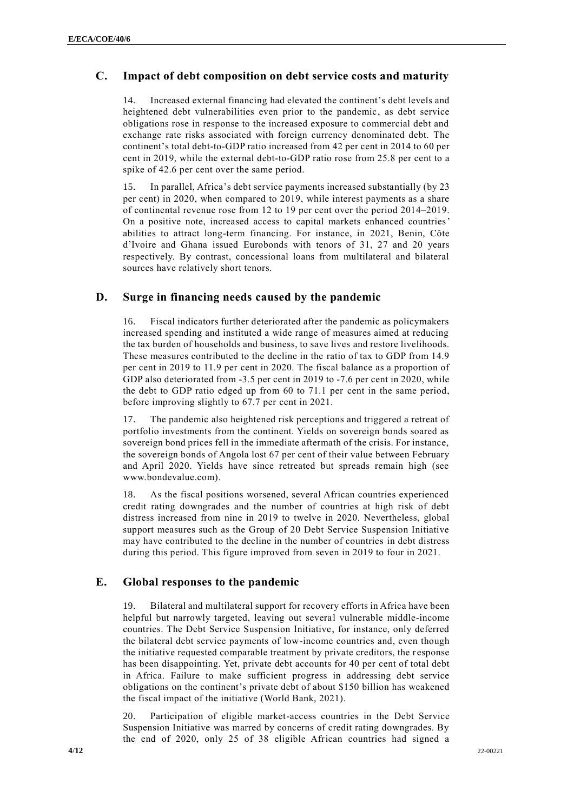## **C. Impact of debt composition on debt service costs and maturity**

14. Increased external financing had elevated the continent's debt levels and heightened debt vulnerabilities even prior to the pandemic, as debt service obligations rose in response to the increased exposure to commercial debt and exchange rate risks associated with foreign currency denominated debt. The continent's total debt-to-GDP ratio increased from 42 per cent in 2014 to 60 per cent in 2019, while the external debt-to-GDP ratio rose from 25.8 per cent to a spike of 42.6 per cent over the same period.

15. In parallel, Africa's debt service payments increased substantially (by 23 per cent) in 2020, when compared to 2019, while interest payments as a share of continental revenue rose from 12 to 19 per cent over the period 2014–2019. On a positive note, increased access to capital markets enhanced countries' abilities to attract long-term financing. For instance, in 2021, Benin, Côte d'Ivoire and Ghana issued Eurobonds with tenors of 31, 27 and 20 years respectively. By contrast, concessional loans from multilateral and bilateral sources have relatively short tenors.

### **D. Surge in financing needs caused by the pandemic**

16. Fiscal indicators further deteriorated after the pandemic as policymakers increased spending and instituted a wide range of measures aimed at reducing the tax burden of households and business, to save lives and restore livelihoods. These measures contributed to the decline in the ratio of tax to GDP from 14.9 per cent in 2019 to 11.9 per cent in 2020. The fiscal balance as a proportion of GDP also deteriorated from -3.5 per cent in 2019 to -7.6 per cent in 2020, while the debt to GDP ratio edged up from 60 to 71.1 per cent in the same period, before improving slightly to 67.7 per cent in 2021.

17. The pandemic also heightened risk perceptions and triggered a retreat of portfolio investments from the continent. Yields on sovereign bonds soared as sovereign bond prices fell in the immediate aftermath of the crisis. For instance, the sovereign bonds of Angola lost 67 per cent of their value between February and April 2020. Yields have since retreated but spreads remain high (see www.bondevalue.com).

18. As the fiscal positions worsened, several African countries experienced credit rating downgrades and the number of countries at high risk of debt distress increased from nine in 2019 to twelve in 2020. Nevertheless, global support measures such as the Group of 20 Debt Service Suspension Initiative may have contributed to the decline in the number of countries in debt distress during this period. This figure improved from seven in 2019 to four in 2021.

## **E. Global responses to the pandemic**

19. Bilateral and multilateral support for recovery efforts in Africa have been helpful but narrowly targeted, leaving out several vulnerable middle-income countries. The Debt Service Suspension Initiative, for instance, only deferred the bilateral debt service payments of low-income countries and, even though the initiative requested comparable treatment by private creditors, the r esponse has been disappointing. Yet, private debt accounts for 40 per cent of total debt in Africa. Failure to make sufficient progress in addressing debt service obligations on the continent's private debt of about \$150 billion has weakened the fiscal impact of the initiative (World Bank, 2021).

20. Participation of eligible market-access countries in the Debt Service Suspension Initiative was marred by concerns of credit rating downgrades. By the end of 2020, only 25 of 38 eligible African countries had signed a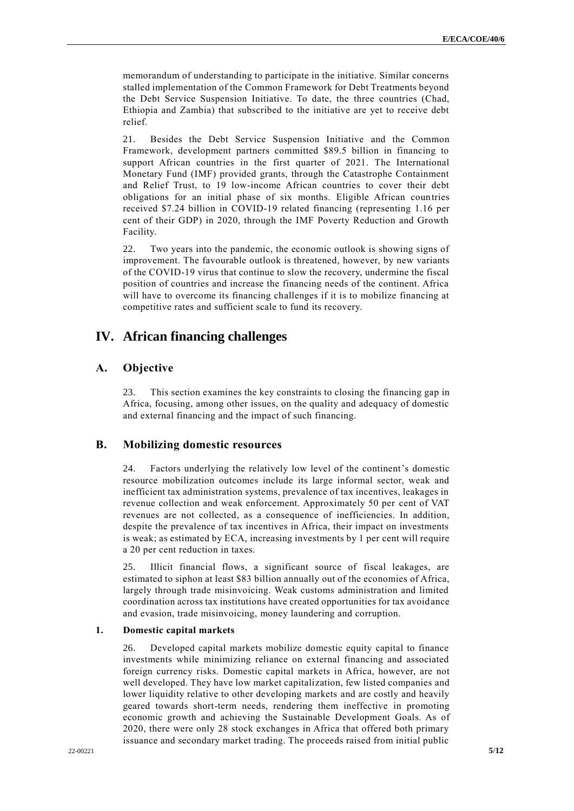memorandum of understanding to participate in the initiative. Similar concerns stalled implementation of the Common Framework for Debt Treatments beyond the Debt Service Suspension Initiative. To date, the three countries (Chad, Ethiopia and Zambia) that subscribed to the initiative are yet to receive debt relief.

21. Besides the Debt Service Suspension Initiative and the Common Framework, development partners committed \$89.5 billion in financing to support African countries in the first quarter of 2021. The International Monetary Fund (IMF) provided grants, through the Catastrophe Containment and Relief Trust, to 19 low-income African countries to cover their debt obligations for an initial phase of six months. Eligible African countries received \$7.24 billion in COVID-19 related financing (representing 1.16 per cent of their GDP) in 2020, through the IMF Poverty Reduction and Growth Facility.

22. Two years into the pandemic, the economic outlook is showing signs of improvement. The favourable outlook is threatened, however, by new variants of the COVID-19 virus that continue to slow the recovery, undermine the fiscal position of countries and increase the financing needs of the continent. Africa will have to overcome its financing challenges if it is to mobilize financing at competitive rates and sufficient scale to fund its recovery.

## **IV. African financing challenges**

#### **A. Objective**

23. This section examines the key constraints to closing the financing gap in Africa, focusing, among other issues, on the quality and adequacy of domestic and external financing and the impact of such financing.

## **B. Mobilizing domestic resources**

24. Factors underlying the relatively low level of the continent's domestic resource mobilization outcomes include its large informal sector, weak and inefficient tax administration systems, prevalence of tax incentives, leakages in revenue collection and weak enforcement. Approximately 50 per cent of VAT revenues are not collected, as a consequence of inefficiencies. In addition, despite the prevalence of tax incentives in Africa, their impact on investments is weak; as estimated by ECA, increasing investments by 1 per cent will require a 20 per cent reduction in taxes.

25. Illicit financial flows, a significant source of fiscal leakages, are estimated to siphon at least \$83 billion annually out of the economies of Africa, largely through trade misinvoicing. Weak customs administration and limited coordination across tax institutions have created opportunities for tax avoidance and evasion, trade misinvoicing, money laundering and corruption.

#### **1. Domestic capital markets**

26. Developed capital markets mobilize domestic equity capital to finance investments while minimizing reliance on external financing and associated foreign currency risks. Domestic capital markets in Africa, however, are not well developed. They have low market capitalization, few listed companies and lower liquidity relative to other developing markets and are costly and heavily geared towards short-term needs, rendering them ineffective in promoting economic growth and achieving the Sustainable Development Goals. As of 2020, there were only 28 stock exchanges in Africa that offered both primary issuance and secondary market trading. The proceeds raised from initial public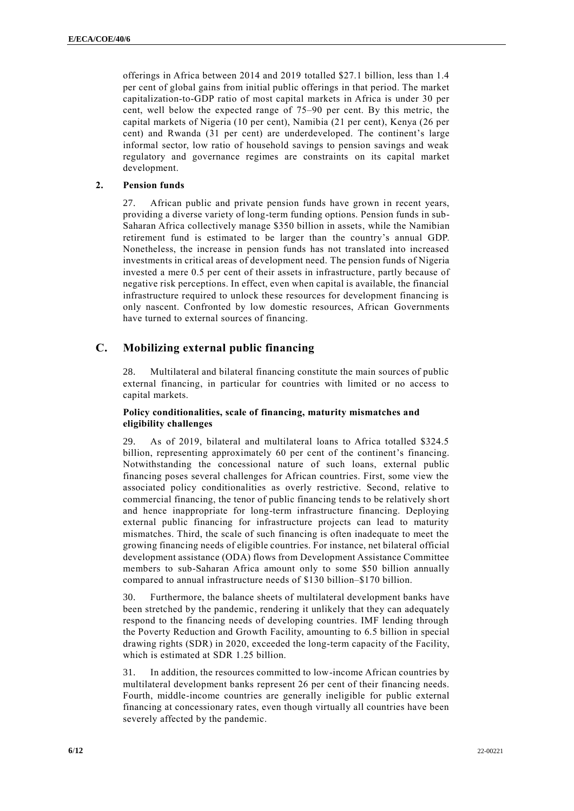offerings in Africa between 2014 and 2019 totalled \$27.1 billion, less than 1.4 per cent of global gains from initial public offerings in that period. The market capitalization-to-GDP ratio of most capital markets in Africa is under 30 per cent, well below the expected range of 75–90 per cent. By this metric, the capital markets of Nigeria (10 per cent), Namibia (21 per cent), Kenya (26 per cent) and Rwanda (31 per cent) are underdeveloped. The continent's large informal sector, low ratio of household savings to pension savings and weak regulatory and governance regimes are constraints on its capital market development.

#### **2. Pension funds**

27. African public and private pension funds have grown in recent years, providing a diverse variety of long-term funding options. Pension funds in sub-Saharan Africa collectively manage \$350 billion in assets, while the Namibian retirement fund is estimated to be larger than the country's annual GDP. Nonetheless, the increase in pension funds has not translated into increased investments in critical areas of development need. The pension funds of Nigeria invested a mere 0.5 per cent of their assets in infrastructure, partly because of negative risk perceptions. In effect, even when capital is available, the financial infrastructure required to unlock these resources for development financing is only nascent. Confronted by low domestic resources, African Governments have turned to external sources of financing.

## **C. Mobilizing external public financing**

28. Multilateral and bilateral financing constitute the main sources of public external financing, in particular for countries with limited or no access to capital markets.

#### **Policy conditionalities, scale of financing, maturity mismatches and eligibility challenges**

29. As of 2019, bilateral and multilateral loans to Africa totalled \$324.5 billion, representing approximately 60 per cent of the continent's financing. Notwithstanding the concessional nature of such loans, external public financing poses several challenges for African countries. First, some view the associated policy conditionalities as overly restrictive. Second, relative to commercial financing, the tenor of public financing tends to be relatively short and hence inappropriate for long-term infrastructure financing. Deploying external public financing for infrastructure projects can lead to maturity mismatches. Third, the scale of such financing is often inadequate to meet the growing financing needs of eligible countries. For instance, net bilateral official development assistance (ODA) flows from Development Assistance Committee members to sub-Saharan Africa amount only to some \$50 billion annually compared to annual infrastructure needs of \$130 billion–\$170 billion.

30. Furthermore, the balance sheets of multilateral development banks have been stretched by the pandemic, rendering it unlikely that they can adequately respond to the financing needs of developing countries. IMF lending through the Poverty Reduction and Growth Facility, amounting to 6.5 billion in special drawing rights (SDR) in 2020, exceeded the long-term capacity of the Facility, which is estimated at SDR 1.25 billion.

31. In addition, the resources committed to low-income African countries by multilateral development banks represent 26 per cent of their financing needs. Fourth, middle-income countries are generally ineligible for public external financing at concessionary rates, even though virtually all countries have been severely affected by the pandemic.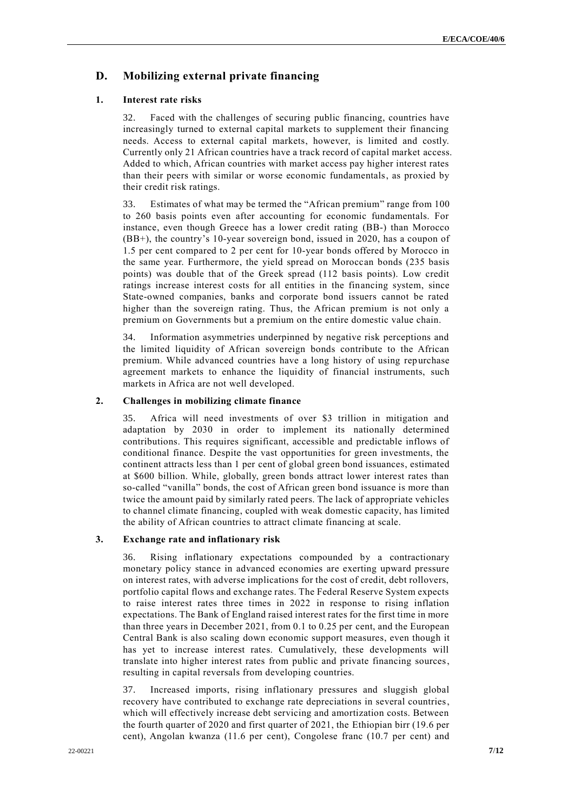## **D. Mobilizing external private financing**

#### **1. Interest rate risks**

32. Faced with the challenges of securing public financing, countries have increasingly turned to external capital markets to supplement their financing needs. Access to external capital markets, however, is limited and costly. Currently only 21 African countries have a track record of capital market access. Added to which, African countries with market access pay higher interest rates than their peers with similar or worse economic fundamentals, as proxied by their credit risk ratings.

33. Estimates of what may be termed the "African premium" range from 100 to 260 basis points even after accounting for economic fundamentals. For instance, even though Greece has a lower credit rating (BB-) than Morocco (BB+), the country's 10-year sovereign bond, issued in 2020, has a coupon of 1.5 per cent compared to 2 per cent for 10-year bonds offered by Morocco in the same year. Furthermore, the yield spread on Moroccan bonds (235 basis points) was double that of the Greek spread (112 basis points). Low credit ratings increase interest costs for all entities in the financing system, since State-owned companies, banks and corporate bond issuers cannot be rated higher than the sovereign rating. Thus, the African premium is not only a premium on Governments but a premium on the entire domestic value chain.

34. Information asymmetries underpinned by negative risk perceptions and the limited liquidity of African sovereign bonds contribute to the African premium. While advanced countries have a long history of using repurchase agreement markets to enhance the liquidity of financial instruments, such markets in Africa are not well developed.

#### **2. Challenges in mobilizing climate finance**

35. Africa will need investments of over \$3 trillion in mitigation and adaptation by 2030 in order to implement its nationally determined contributions. This requires significant, accessible and predictable inflows of conditional finance. Despite the vast opportunities for green investments, the continent attracts less than 1 per cent of global green bond issuances, estimated at \$600 billion. While, globally, green bonds attract lower interest rates than so-called "vanilla" bonds, the cost of African green bond issuance is more than twice the amount paid by similarly rated peers. The lack of appropriate vehicles to channel climate financing, coupled with weak domestic capacity, has limited the ability of African countries to attract climate financing at scale.

#### **3. Exchange rate and inflationary risk**

36. Rising inflationary expectations compounded by a contractionary monetary policy stance in advanced economies are exerting upward pressure on interest rates, with adverse implications for the cost of credit, debt rollovers, portfolio capital flows and exchange rates. The Federal Reserve System expects to raise interest rates three times in 2022 in response to rising inflation expectations. The Bank of England raised interest rates for the first time in more than three years in December 2021, from 0.1 to 0.25 per cent, and the European Central Bank is also scaling down economic support measures, even though it has yet to increase interest rates. Cumulatively, these developments will translate into higher interest rates from public and private financing sources, resulting in capital reversals from developing countries.

37. Increased imports, rising inflationary pressures and sluggish global recovery have contributed to exchange rate depreciations in several countries, which will effectively increase debt servicing and amortization costs. Between the fourth quarter of 2020 and first quarter of 2021, the Ethiopian birr (19.6 per cent), Angolan kwanza (11.6 per cent), Congolese franc (10.7 per cent) and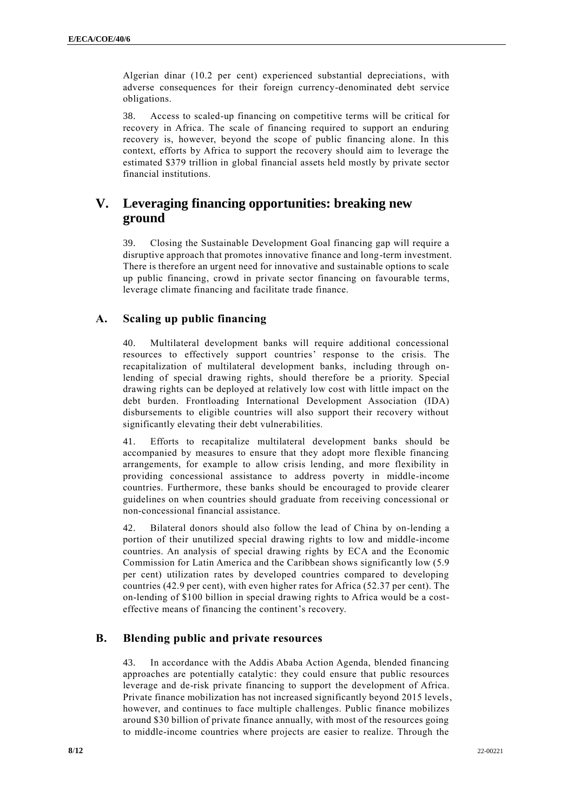Algerian dinar (10.2 per cent) experienced substantial depreciations, with adverse consequences for their foreign currency-denominated debt service obligations.

38. Access to scaled-up financing on competitive terms will be critical for recovery in Africa. The scale of financing required to support an enduring recovery is, however, beyond the scope of public financing alone. In this context, efforts by Africa to support the recovery should aim to leverage the estimated \$379 trillion in global financial assets held mostly by private sector financial institutions.

## **V. Leveraging financing opportunities: breaking new ground**

39. Closing the Sustainable Development Goal financing gap will require a disruptive approach that promotes innovative finance and long-term investment. There is therefore an urgent need for innovative and sustainable options to scale up public financing, crowd in private sector financing on favourable terms, leverage climate financing and facilitate trade finance.

## **A. Scaling up public financing**

40. Multilateral development banks will require additional concessional resources to effectively support countries' response to the crisis. The recapitalization of multilateral development banks, including through onlending of special drawing rights, should therefore be a priority. Special drawing rights can be deployed at relatively low cost with little impact on the debt burden. Frontloading International Development Association (IDA) disbursements to eligible countries will also support their recovery without significantly elevating their debt vulnerabilities.

41. Efforts to recapitalize multilateral development banks should be accompanied by measures to ensure that they adopt more flexible financing arrangements, for example to allow crisis lending, and more flexibility in providing concessional assistance to address poverty in middle-income countries. Furthermore, these banks should be encouraged to provide clearer guidelines on when countries should graduate from receiving concessional or non-concessional financial assistance.

42. Bilateral donors should also follow the lead of China by on-lending a portion of their unutilized special drawing rights to low and middle-income countries. An analysis of special drawing rights by ECA and the Economic Commission for Latin America and the Caribbean shows significantly low (5.9 per cent) utilization rates by developed countries compared to developing countries (42.9 per cent), with even higher rates for Africa (52.37 per cent). The on-lending of \$100 billion in special drawing rights to Africa would be a costeffective means of financing the continent's recovery.

## **B. Blending public and private resources**

43. In accordance with the Addis Ababa Action Agenda, blended financing approaches are potentially catalytic: they could ensure that public resources leverage and de-risk private financing to support the development of Africa. Private finance mobilization has not increased significantly beyond 2015 levels, however, and continues to face multiple challenges. Public finance mobilizes around \$30 billion of private finance annually, with most of the resources going to middle-income countries where projects are easier to realize. Through the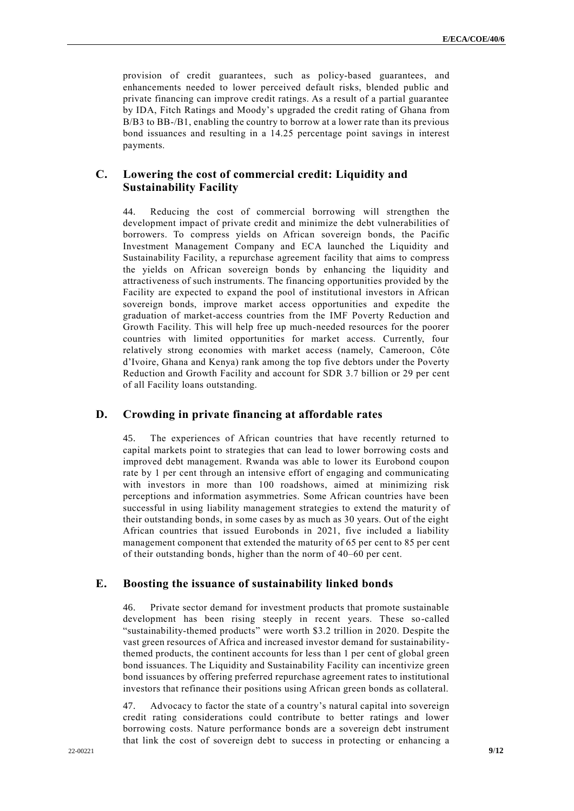provision of credit guarantees, such as policy-based guarantees, and enhancements needed to lower perceived default risks, blended public and private financing can improve credit ratings. As a result of a partial guarantee by IDA, Fitch Ratings and Moody's upgraded the credit rating of Ghana from B/B3 to BB-/B1, enabling the country to borrow at a lower rate than its previous bond issuances and resulting in a 14.25 percentage point savings in interest payments.

## **C. Lowering the cost of commercial credit: Liquidity and Sustainability Facility**

44. Reducing the cost of commercial borrowing will strengthen the development impact of private credit and minimize the debt vulnerabilities of borrowers. To compress yields on African sovereign bonds, the Pacific Investment Management Company and ECA launched the Liquidity and Sustainability Facility, a repurchase agreement facility that aims to compress the yields on African sovereign bonds by enhancing the liquidity and attractiveness of such instruments. The financing opportunities provided by the Facility are expected to expand the pool of institutional investors in African sovereign bonds, improve market access opportunities and expedite the graduation of market-access countries from the IMF Poverty Reduction and Growth Facility. This will help free up much-needed resources for the poorer countries with limited opportunities for market access. Currently, four relatively strong economies with market access (namely, Cameroon, Côte d'Ivoire, Ghana and Kenya) rank among the top five debtors under the Poverty Reduction and Growth Facility and account for SDR 3.7 billion or 29 per cent of all Facility loans outstanding.

#### **D. Crowding in private financing at affordable rates**

45. The experiences of African countries that have recently returned to capital markets point to strategies that can lead to lower borrowing costs and improved debt management. Rwanda was able to lower its Eurobond coupon rate by 1 per cent through an intensive effort of engaging and communicating with investors in more than 100 roadshows, aimed at minimizing risk perceptions and information asymmetries. Some African countries have been successful in using liability management strategies to extend the maturity of their outstanding bonds, in some cases by as much as 30 years. Out of the eight African countries that issued Eurobonds in 2021, five included a liability management component that extended the maturity of 65 per cent to 85 per cent of their outstanding bonds, higher than the norm of 40–60 per cent.

#### **E. Boosting the issuance of sustainability linked bonds**

46. Private sector demand for investment products that promote sustainable development has been rising steeply in recent years. These so-called "sustainability-themed products" were worth \$3.2 trillion in 2020. Despite the vast green resources of Africa and increased investor demand for sustainabilitythemed products, the continent accounts for less than 1 per cent of global green bond issuances. The Liquidity and Sustainability Facility can incentivize green bond issuances by offering preferred repurchase agreement rates to institutional investors that refinance their positions using African green bonds as collateral.

47. Advocacy to factor the state of a country's natural capital into sovereign credit rating considerations could contribute to better ratings and lower borrowing costs. Nature performance bonds are a sovereign debt instrument that link the cost of sovereign debt to success in protecting or enhancing a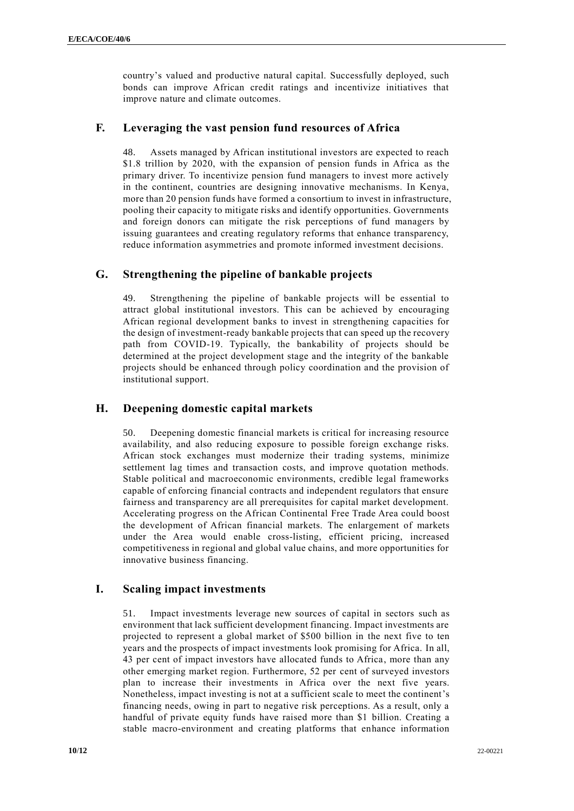country's valued and productive natural capital. Successfully deployed, such bonds can improve African credit ratings and incentivize initiatives that improve nature and climate outcomes.

## **F. Leveraging the vast pension fund resources of Africa**

48. Assets managed by African institutional investors are expected to reach \$1.8 trillion by 2020, with the expansion of pension funds in Africa as the primary driver. To incentivize pension fund managers to invest more actively in the continent, countries are designing innovative mechanisms. In Kenya, more than 20 pension funds have formed a consortium to invest in infrastructure, pooling their capacity to mitigate risks and identify opportunities. Governments and foreign donors can mitigate the risk perceptions of fund managers by issuing guarantees and creating regulatory reforms that enhance transparency, reduce information asymmetries and promote informed investment decisions.

## **G. Strengthening the pipeline of bankable projects**

49. Strengthening the pipeline of bankable projects will be essential to attract global institutional investors. This can be achieved by encouraging African regional development banks to invest in strengthening capacities for the design of investment-ready bankable projects that can speed up the recovery path from COVID-19. Typically, the bankability of projects should be determined at the project development stage and the integrity of the bankable projects should be enhanced through policy coordination and the provision of institutional support.

## **H. Deepening domestic capital markets**

50. Deepening domestic financial markets is critical for increasing resource availability, and also reducing exposure to possible foreign exchange risks. African stock exchanges must modernize their trading systems, minimize settlement lag times and transaction costs, and improve quotation methods. Stable political and macroeconomic environments, credible legal frameworks capable of enforcing financial contracts and independent regulators that ensure fairness and transparency are all prerequisites for capital market development. Accelerating progress on the African Continental Free Trade Area could boost the development of African financial markets. The enlargement of markets under the Area would enable cross-listing, efficient pricing, increased competitiveness in regional and global value chains, and more opportunities for innovative business financing.

## **I. Scaling impact investments**

51. Impact investments leverage new sources of capital in sectors such as environment that lack sufficient development financing. Impact investments are projected to represent a global market of \$500 billion in the next five to ten years and the prospects of impact investments look promising for Africa. In all, 43 per cent of impact investors have allocated funds to Africa, more than any other emerging market region. Furthermore, 52 per cent of surveyed investors plan to increase their investments in Africa over the next five years. Nonetheless, impact investing is not at a sufficient scale to meet the continent's financing needs, owing in part to negative risk perceptions. As a result, only a handful of private equity funds have raised more than \$1 billion. Creating a stable macro-environment and creating platforms that enhance information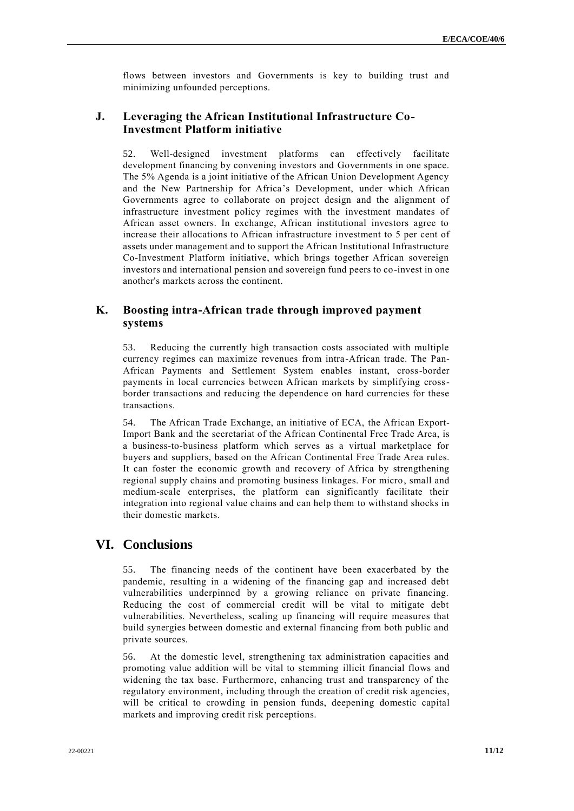flows between investors and Governments is key to building trust and minimizing unfounded perceptions.

## **J. Leveraging the African Institutional Infrastructure Co-Investment Platform initiative**

52. Well-designed investment platforms can effectively facilitate development financing by convening investors and Governments in one space. The 5% Agenda is a joint initiative of the African Union Development Agency and the New Partnership for Africa's Development, under which African Governments agree to collaborate on project design and the alignment of infrastructure investment policy regimes with the investment mandates of African asset owners. In exchange, African institutional investors agree to increase their allocations to African infrastructure investment to 5 per cent of assets under management and to support the African Institutional Infrastructure Co-Investment Platform initiative, which brings together African sovereign investors and international pension and sovereign fund peers to co-invest in one another's markets across the continent.

## **K. Boosting intra-African trade through improved payment systems**

53. Reducing the currently high transaction costs associated with multiple currency regimes can maximize revenues from intra-African trade. The Pan-African Payments and Settlement System enables instant, cross-border payments in local currencies between African markets by simplifying crossborder transactions and reducing the dependence on hard currencies for these transactions.

54. The African Trade Exchange, an initiative of ECA, the African Export-Import Bank and the secretariat of the African Continental Free Trade Area, is a business-to-business platform which serves as a virtual marketplace for buyers and suppliers, based on the African Continental Free Trade Area rules. It can foster the economic growth and recovery of Africa by strengthening regional supply chains and promoting business linkages. For micro, small and medium-scale enterprises, the platform can significantly facilitate their integration into regional value chains and can help them to withstand shocks in their domestic markets.

## **VI. Conclusions**

55. The financing needs of the continent have been exacerbated by the pandemic, resulting in a widening of the financing gap and increased debt vulnerabilities underpinned by a growing reliance on private financing. Reducing the cost of commercial credit will be vital to mitigate debt vulnerabilities. Nevertheless, scaling up financing will require measures that build synergies between domestic and external financing from both public and private sources.

56. At the domestic level, strengthening tax administration capacities and promoting value addition will be vital to stemming illicit financial flows and widening the tax base. Furthermore, enhancing trust and transparency of the regulatory environment, including through the creation of credit risk agencies, will be critical to crowding in pension funds, deepening domestic capital markets and improving credit risk perceptions.